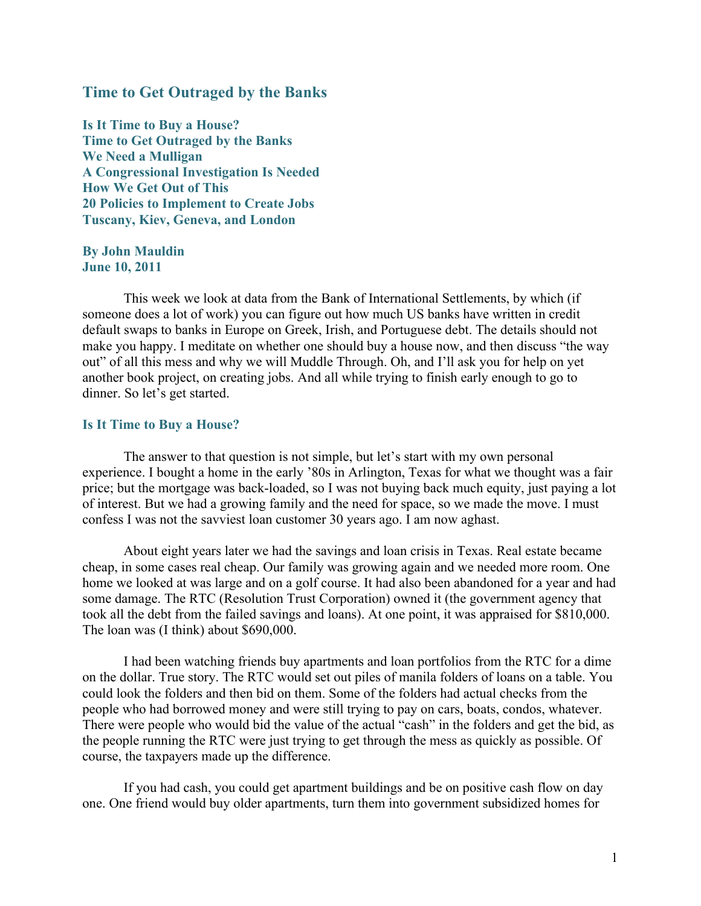# Time to Get Outraged by the Banks

Is It Time to Buy a House? Time to Get Outraged by the Banks We Need a Mulligan A Congressional Investigation Is Needed How We Get Out of This 20 Policies to Implement to Create Jobs Tuscany, Kiev, Geneva, and London

By John Mauldin June 10, 2011

This week we look at data from the Bank of International Settlements, by which (if someone does a lot of work) you can figure out how much US banks have written in credit default swaps to banks in Europe on Greek, Irish, and Portuguese debt. The details should not make you happy. I meditate on whether one should buy a house now, and then discuss "the way out" of all this mess and why we will Muddle Through. Oh, and I'll ask you for help on yet another book project, on creating jobs. And all while trying to finish early enough to go to dinner. So let's get started.

### Is It Time to Buy a House?

The answer to that question is not simple, but let's start with my own personal experience. I bought a home in the early '80s in Arlington, Texas for what we thought was a fair price; but the mortgage was back-loaded, so I was not buying back much equity, just paying a lot of interest. But we had a growing family and the need for space, so we made the move. I must confess I was not the savviest loan customer 30 years ago. I am now aghast.

About eight years later we had the savings and loan crisis in Texas. Real estate became cheap, in some cases real cheap. Our family was growing again and we needed more room. One home we looked at was large and on a golf course. It had also been abandoned for a year and had some damage. The RTC (Resolution Trust Corporation) owned it (the government agency that took all the debt from the failed savings and loans). At one point, it was appraised for \$810,000. The loan was (I think) about \$690,000.

I had been watching friends buy apartments and loan portfolios from the RTC for a dime on the dollar. True story. The RTC would set out piles of manila folders of loans on a table. You could look the folders and then bid on them. Some of the folders had actual checks from the people who had borrowed money and were still trying to pay on cars, boats, condos, whatever. There were people who would bid the value of the actual "cash" in the folders and get the bid, as the people running the RTC were just trying to get through the mess as quickly as possible. Of course, the taxpayers made up the difference.

If you had cash, you could get apartment buildings and be on positive cash flow on day one. One friend would buy older apartments, turn them into government subsidized homes for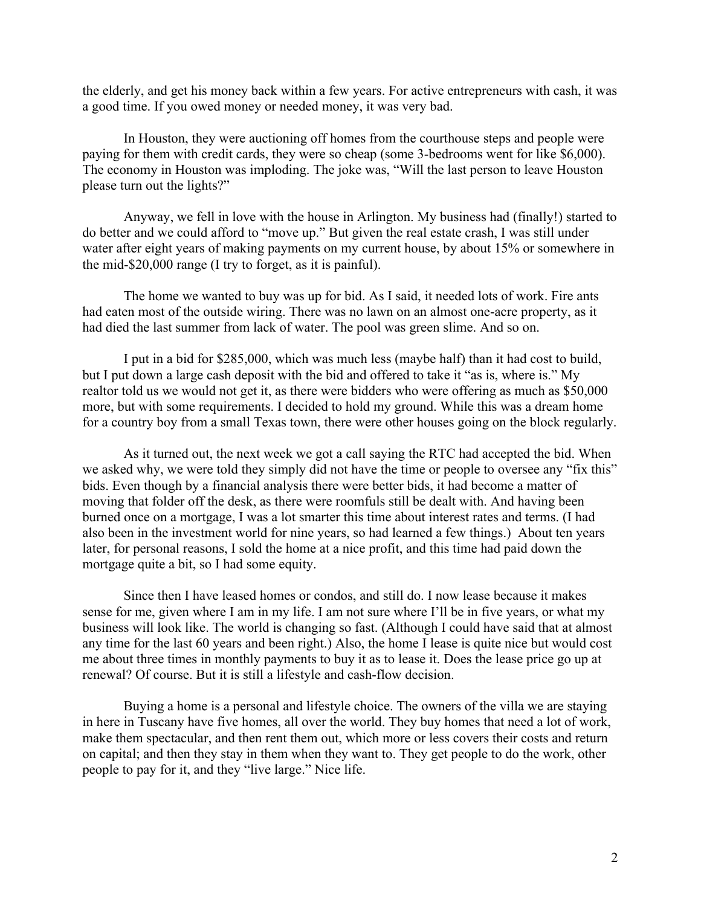the elderly, and get his money back within a few years. For active entrepreneurs with cash, it was a good time. If you owed money or needed money, it was very bad.

In Houston, they were auctioning off homes from the courthouse steps and people were paying for them with credit cards, they were so cheap (some 3-bedrooms went for like \$6,000). The economy in Houston was imploding. The joke was, "Will the last person to leave Houston please turn out the lights?"

Anyway, we fell in love with the house in Arlington. My business had (finally!) started to do better and we could afford to "move up." But given the real estate crash, I was still under water after eight years of making payments on my current house, by about 15% or somewhere in the mid-\$20,000 range (I try to forget, as it is painful).

The home we wanted to buy was up for bid. As I said, it needed lots of work. Fire ants had eaten most of the outside wiring. There was no lawn on an almost one-acre property, as it had died the last summer from lack of water. The pool was green slime. And so on.

I put in a bid for \$285,000, which was much less (maybe half) than it had cost to build, but I put down a large cash deposit with the bid and offered to take it "as is, where is." My realtor told us we would not get it, as there were bidders who were offering as much as \$50,000 more, but with some requirements. I decided to hold my ground. While this was a dream home for a country boy from a small Texas town, there were other houses going on the block regularly.

As it turned out, the next week we got a call saying the RTC had accepted the bid. When we asked why, we were told they simply did not have the time or people to oversee any "fix this" bids. Even though by a financial analysis there were better bids, it had become a matter of moving that folder off the desk, as there were roomfuls still be dealt with. And having been burned once on a mortgage, I was a lot smarter this time about interest rates and terms. (I had also been in the investment world for nine years, so had learned a few things.) About ten years later, for personal reasons, I sold the home at a nice profit, and this time had paid down the mortgage quite a bit, so I had some equity.

Since then I have leased homes or condos, and still do. I now lease because it makes sense for me, given where I am in my life. I am not sure where I'll be in five years, or what my business will look like. The world is changing so fast. (Although I could have said that at almost any time for the last 60 years and been right.) Also, the home I lease is quite nice but would cost me about three times in monthly payments to buy it as to lease it. Does the lease price go up at renewal? Of course. But it is still a lifestyle and cash-flow decision.

Buying a home is a personal and lifestyle choice. The owners of the villa we are staying in here in Tuscany have five homes, all over the world. They buy homes that need a lot of work, make them spectacular, and then rent them out, which more or less covers their costs and return on capital; and then they stay in them when they want to. They get people to do the work, other people to pay for it, and they "live large." Nice life.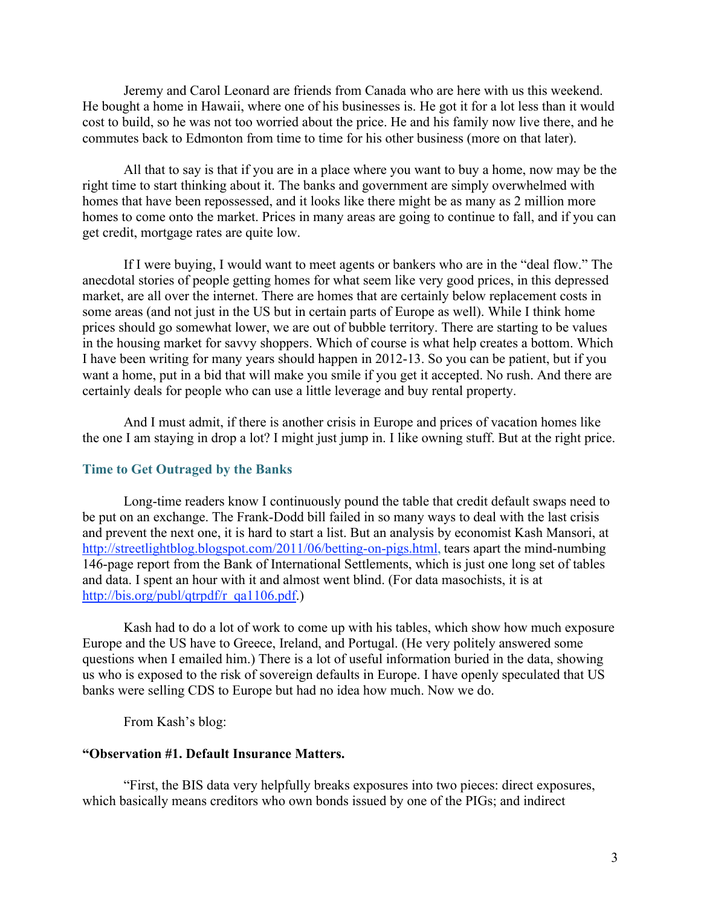Jeremy and Carol Leonard are friends from Canada who are here with us this weekend. He bought a home in Hawaii, where one of his businesses is. He got it for a lot less than it would cost to build, so he was not too worried about the price. He and his family now live there, and he commutes back to Edmonton from time to time for his other business (more on that later).

All that to say is that if you are in a place where you want to buy a home, now may be the right time to start thinking about it. The banks and government are simply overwhelmed with homes that have been repossessed, and it looks like there might be as many as 2 million more homes to come onto the market. Prices in many areas are going to continue to fall, and if you can get credit, mortgage rates are quite low.

If I were buying, I would want to meet agents or bankers who are in the "deal flow." The anecdotal stories of people getting homes for what seem like very good prices, in this depressed market, are all over the internet. There are homes that are certainly below replacement costs in some areas (and not just in the US but in certain parts of Europe as well). While I think home prices should go somewhat lower, we are out of bubble territory. There are starting to be values in the housing market for savvy shoppers. Which of course is what help creates a bottom. Which I have been writing for many years should happen in 2012-13. So you can be patient, but if you want a home, put in a bid that will make you smile if you get it accepted. No rush. And there are certainly deals for people who can use a little leverage and buy rental property.

And I must admit, if there is another crisis in Europe and prices of vacation homes like the one I am staying in drop a lot? I might just jump in. I like owning stuff. But at the right price.

### Time to Get Outraged by the Banks

Long-time readers know I continuously pound the table that credit default swaps need to be put on an exchange. The Frank-Dodd bill failed in so many ways to deal with the last crisis and prevent the next one, it is hard to start a list. But an analysis by economist Kash Mansori, at http://streetlightblog.blogspot.com/2011/06/betting-on-pigs.html, tears apart the mind-numbing 146-page report from the Bank of International Settlements, which is just one long set of tables and data. I spent an hour with it and almost went blind. (For data masochists, it is at http://bis.org/publ/qtrpdf/r\_qa1106.pdf.)

Kash had to do a lot of work to come up with his tables, which show how much exposure Europe and the US have to Greece, Ireland, and Portugal. (He very politely answered some questions when I emailed him.) There is a lot of useful information buried in the data, showing us who is exposed to the risk of sovereign defaults in Europe. I have openly speculated that US banks were selling CDS to Europe but had no idea how much. Now we do.

From Kash's blog:

### "Observation #1. Default Insurance Matters.

"First, the BIS data very helpfully breaks exposures into two pieces: direct exposures, which basically means creditors who own bonds issued by one of the PIGs; and indirect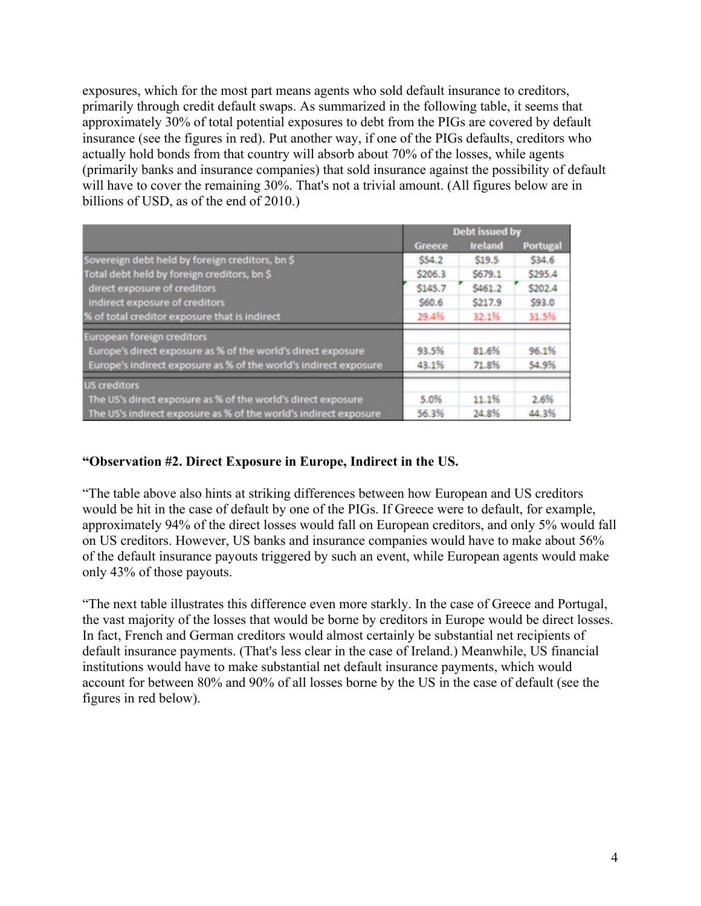exposures, which for the most part means agents who sold default insurance to creditors, primarily through credit default swaps. As summarized in the following table, it seems that approximately 30% of total potential exposures to debt from the PIGs are covered by default insurance (see the figures in red). Put another way, if one of the PIGs defaults, creditors who actually hold bonds from that country will absorb about 70% of the losses, while agents (primarily banks and insurance companies) that sold insurance against the possibility of default will have to cover the remaining 30%. That's not a trivial amount. (All figures below are in billions of USD, as of the end of 2010.)

|                                                                  | Debt issued by |                |                 |
|------------------------------------------------------------------|----------------|----------------|-----------------|
|                                                                  | <b>Greece</b>  | <b>Ireland</b> | <b>Portugal</b> |
| Sovereign debt held by foreign creditors, bn \$                  | \$54.2         | \$19.5         | \$34.6          |
| Total debt held by foreign creditors, bn \$                      | \$206.3        | \$679.1        | \$295.4         |
| direct exposure of creditors                                     | \$145.7        | \$461.2        | \$202.4         |
| indirect exposure of creditors                                   | \$60.6         | \$217.9        | \$93.0          |
| % of total creditor exposure that is indirect                    | 29.4%          | 32.1%          | 31.5%           |
| European foreign creditors                                       |                |                |                 |
| Europe's direct exposure as % of the world's direct exposure     | 93.5%          | 81.6%          | 96.1%           |
| Europe's indirect exposure as % of the world's indirect exposure | 43.1%          | 71.8%          | 54.9%           |
| <b>US</b> creditors                                              |                |                |                 |
| The US's direct exposure as % of the world's direct exposure     | 5.0%           | 11.1%          | 2.6%            |
| The US's indirect exposure as % of the world's indirect exposure | 56.3%          | 24.8%          | 44.3%           |

# "Observation #2. Direct Exposure in Europe, Indirect in the US.

"The table above also hints at striking differences between how European and US creditors would be hit in the case of default by one of the PIGs. If Greece were to default, for example, approximately 94% of the direct losses would fall on European creditors, and only 5% would fall on US creditors. However, US banks and insurance companies would have to make about 56% of the default insurance payouts triggered by such an event, while European agents would make only 43% of those payouts.

"The next table illustrates this difference even more starkly. In the case of Greece and Portugal, the vast majority of the losses that would be borne by creditors in Europe would be direct losses. In fact, French and German creditors would almost certainly be substantial net recipients of default insurance payments. (That's less clear in the case of Ireland.) Meanwhile, US financial institutions would have to make substantial net default insurance payments, which would account for between 80% and 90% of all losses borne by the US in the case of default (see the figures in red below).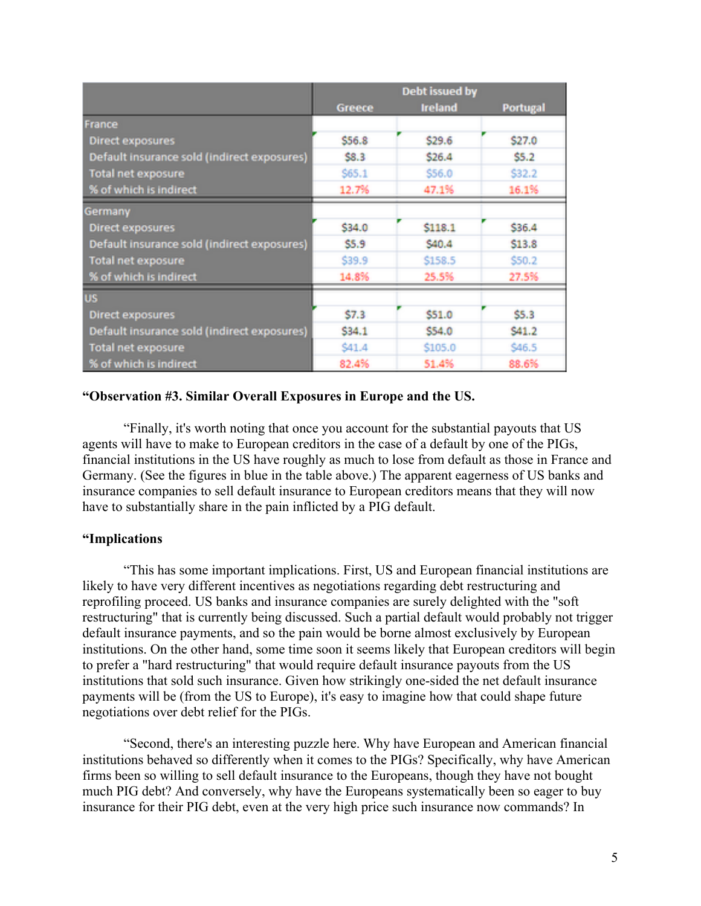|                                             | <b>Debt issued by</b> |                |                 |  |
|---------------------------------------------|-----------------------|----------------|-----------------|--|
|                                             | Greece                | <b>Ireland</b> | <b>Portugal</b> |  |
| France                                      |                       |                |                 |  |
| Direct exposures                            | \$56.8                | \$29.6         | \$27.0          |  |
| Default insurance sold (indirect exposures) | \$8.3                 | \$26.4         | \$5.2           |  |
| <b>Total net exposure</b>                   | \$65.1                | \$56.0         | S32.2           |  |
| % of which is indirect                      | 12.7%                 | 47.1%          | 16.1%           |  |
| Germany                                     |                       |                |                 |  |
| <b>Direct exposures</b>                     | \$34.0                | \$118.1        | \$36.4          |  |
| Default insurance sold (indirect exposures) | \$5.9                 | \$40.4         | \$13.8          |  |
| <b>Total net exposure</b>                   | \$39.9                | \$158.5        | \$50.2          |  |
| % of which is indirect                      | 14.8%                 | 25.5%          | 27.5%           |  |
| <b>US</b>                                   |                       |                |                 |  |
| <b>Direct exposures</b>                     | \$7.3                 | \$51.0         | \$5.3           |  |
| Default insurance sold (indirect exposures) | \$34.1                | \$54.0         | S41.2           |  |
| <b>Total net exposure</b>                   | \$41.4                | \$105.0        | \$46.5          |  |
| % of which is indirect                      | 82.4%                 | 51.4%          | 88.6%           |  |

# "Observation #3. Similar Overall Exposures in Europe and the US.

"Finally, it's worth noting that once you account for the substantial payouts that US agents will have to make to European creditors in the case of a default by one of the PIGs, financial institutions in the US have roughly as much to lose from default as those in France and Germany. (See the figures in blue in the table above.) The apparent eagerness of US banks and insurance companies to sell default insurance to European creditors means that they will now have to substantially share in the pain inflicted by a PIG default.

## "Implications

"This has some important implications. First, US and European financial institutions are likely to have very different incentives as negotiations regarding debt restructuring and reprofiling proceed. US banks and insurance companies are surely delighted with the "soft restructuring" that is currently being discussed. Such a partial default would probably not trigger default insurance payments, and so the pain would be borne almost exclusively by European institutions. On the other hand, some time soon it seems likely that European creditors will begin to prefer a "hard restructuring" that would require default insurance payouts from the US institutions that sold such insurance. Given how strikingly one-sided the net default insurance payments will be (from the US to Europe), it's easy to imagine how that could shape future negotiations over debt relief for the PIGs.

"Second, there's an interesting puzzle here. Why have European and American financial institutions behaved so differently when it comes to the PIGs? Specifically, why have American firms been so willing to sell default insurance to the Europeans, though they have not bought much PIG debt? And conversely, why have the Europeans systematically been so eager to buy insurance for their PIG debt, even at the very high price such insurance now commands? In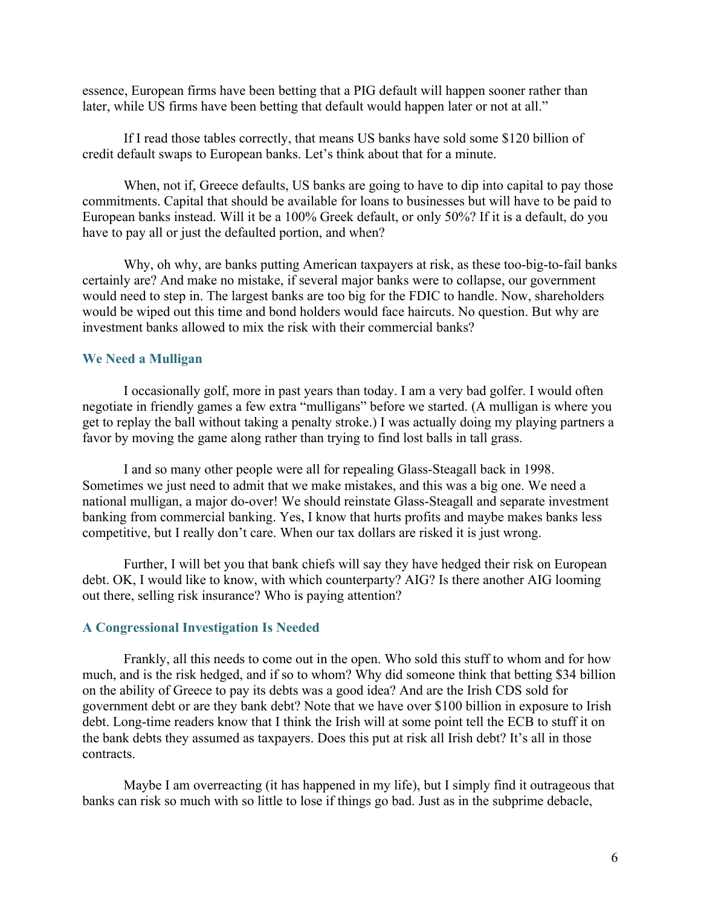essence, European firms have been betting that a PIG default will happen sooner rather than later, while US firms have been betting that default would happen later or not at all."

If I read those tables correctly, that means US banks have sold some \$120 billion of credit default swaps to European banks. Let's think about that for a minute.

When, not if, Greece defaults, US banks are going to have to dip into capital to pay those commitments. Capital that should be available for loans to businesses but will have to be paid to European banks instead. Will it be a 100% Greek default, or only 50%? If it is a default, do you have to pay all or just the defaulted portion, and when?

Why, oh why, are banks putting American taxpayers at risk, as these too-big-to-fail banks certainly are? And make no mistake, if several major banks were to collapse, our government would need to step in. The largest banks are too big for the FDIC to handle. Now, shareholders would be wiped out this time and bond holders would face haircuts. No question. But why are investment banks allowed to mix the risk with their commercial banks?

### We Need a Mulligan

I occasionally golf, more in past years than today. I am a very bad golfer. I would often negotiate in friendly games a few extra "mulligans" before we started. (A mulligan is where you get to replay the ball without taking a penalty stroke.) I was actually doing my playing partners a favor by moving the game along rather than trying to find lost balls in tall grass.

I and so many other people were all for repealing Glass-Steagall back in 1998. Sometimes we just need to admit that we make mistakes, and this was a big one. We need a national mulligan, a major do-over! We should reinstate Glass-Steagall and separate investment banking from commercial banking. Yes, I know that hurts profits and maybe makes banks less competitive, but I really don't care. When our tax dollars are risked it is just wrong.

Further, I will bet you that bank chiefs will say they have hedged their risk on European debt. OK, I would like to know, with which counterparty? AIG? Is there another AIG looming out there, selling risk insurance? Who is paying attention?

### A Congressional Investigation Is Needed

Frankly, all this needs to come out in the open. Who sold this stuff to whom and for how much, and is the risk hedged, and if so to whom? Why did someone think that betting \$34 billion on the ability of Greece to pay its debts was a good idea? And are the Irish CDS sold for government debt or are they bank debt? Note that we have over \$100 billion in exposure to Irish debt. Long-time readers know that I think the Irish will at some point tell the ECB to stuff it on the bank debts they assumed as taxpayers. Does this put at risk all Irish debt? It's all in those contracts.

Maybe I am overreacting (it has happened in my life), but I simply find it outrageous that banks can risk so much with so little to lose if things go bad. Just as in the subprime debacle,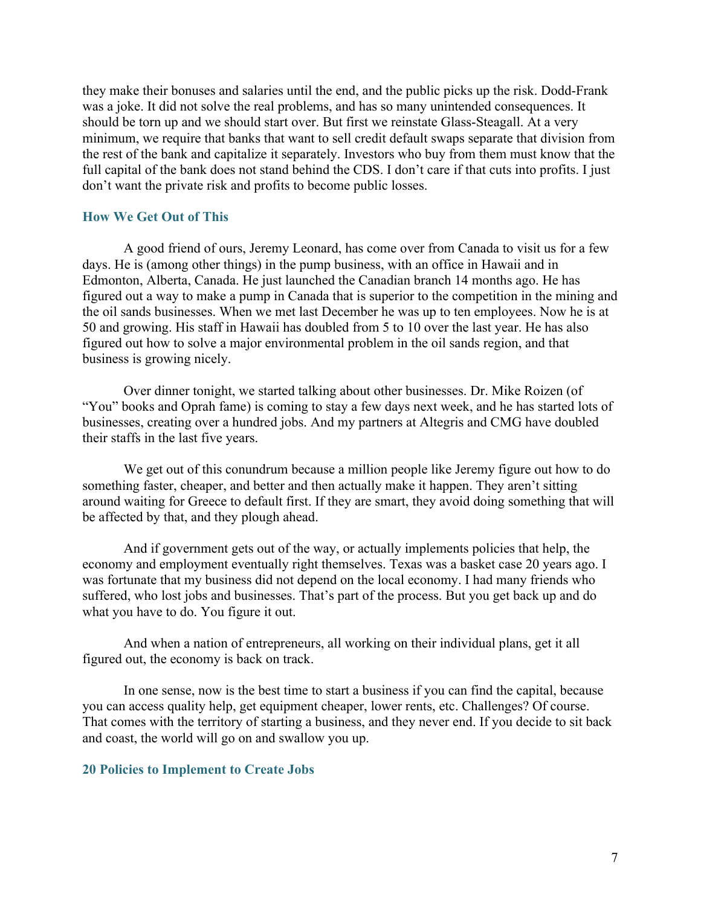they make their bonuses and salaries until the end, and the public picks up the risk. Dodd-Frank was a joke. It did not solve the real problems, and has so many unintended consequences. It should be torn up and we should start over. But first we reinstate Glass-Steagall. At a very minimum, we require that banks that want to sell credit default swaps separate that division from the rest of the bank and capitalize it separately. Investors who buy from them must know that the full capital of the bank does not stand behind the CDS. I don't care if that cuts into profits. I just don't want the private risk and profits to become public losses.

### How We Get Out of This

A good friend of ours, Jeremy Leonard, has come over from Canada to visit us for a few days. He is (among other things) in the pump business, with an office in Hawaii and in Edmonton, Alberta, Canada. He just launched the Canadian branch 14 months ago. He has figured out a way to make a pump in Canada that is superior to the competition in the mining and the oil sands businesses. When we met last December he was up to ten employees. Now he is at 50 and growing. His staff in Hawaii has doubled from 5 to 10 over the last year. He has also figured out how to solve a major environmental problem in the oil sands region, and that business is growing nicely.

Over dinner tonight, we started talking about other businesses. Dr. Mike Roizen (of "You" books and Oprah fame) is coming to stay a few days next week, and he has started lots of businesses, creating over a hundred jobs. And my partners at Altegris and CMG have doubled their staffs in the last five years.

We get out of this conundrum because a million people like Jeremy figure out how to do something faster, cheaper, and better and then actually make it happen. They aren't sitting around waiting for Greece to default first. If they are smart, they avoid doing something that will be affected by that, and they plough ahead.

And if government gets out of the way, or actually implements policies that help, the economy and employment eventually right themselves. Texas was a basket case 20 years ago. I was fortunate that my business did not depend on the local economy. I had many friends who suffered, who lost jobs and businesses. That's part of the process. But you get back up and do what you have to do. You figure it out.

And when a nation of entrepreneurs, all working on their individual plans, get it all figured out, the economy is back on track.

In one sense, now is the best time to start a business if you can find the capital, because you can access quality help, get equipment cheaper, lower rents, etc. Challenges? Of course. That comes with the territory of starting a business, and they never end. If you decide to sit back and coast, the world will go on and swallow you up.

### 20 Policies to Implement to Create Jobs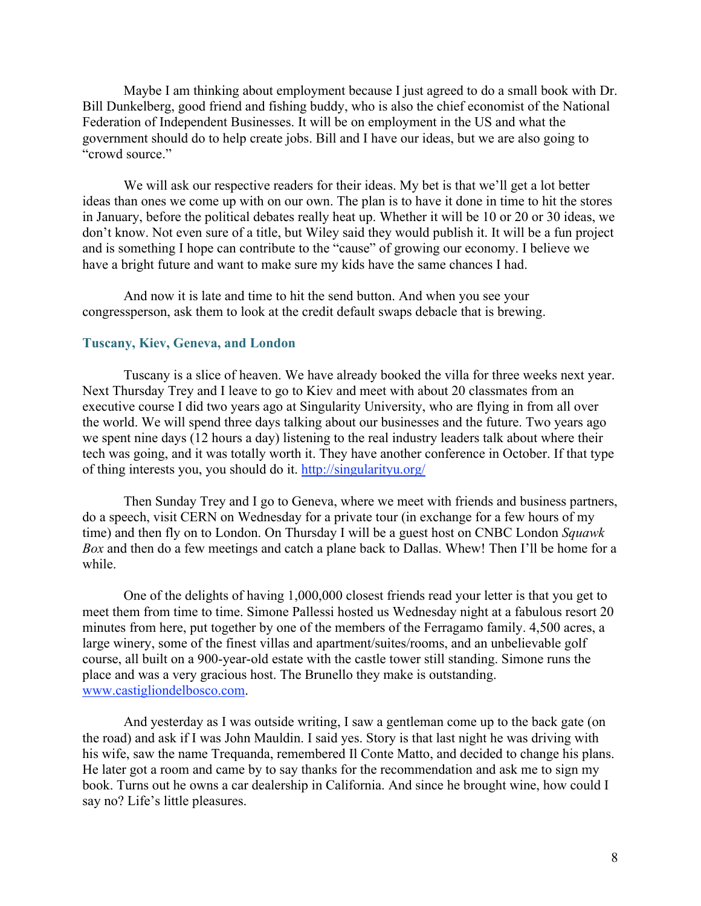Maybe I am thinking about employment because I just agreed to do a small book with Dr. Bill Dunkelberg, good friend and fishing buddy, who is also the chief economist of the National Federation of Independent Businesses. It will be on employment in the US and what the government should do to help create jobs. Bill and I have our ideas, but we are also going to "crowd source."

We will ask our respective readers for their ideas. My bet is that we'll get a lot better ideas than ones we come up with on our own. The plan is to have it done in time to hit the stores in January, before the political debates really heat up. Whether it will be 10 or 20 or 30 ideas, we don't know. Not even sure of a title, but Wiley said they would publish it. It will be a fun project and is something I hope can contribute to the "cause" of growing our economy. I believe we have a bright future and want to make sure my kids have the same chances I had.

And now it is late and time to hit the send button. And when you see your congressperson, ask them to look at the credit default swaps debacle that is brewing.

### Tuscany, Kiev, Geneva, and London

Tuscany is a slice of heaven. We have already booked the villa for three weeks next year. Next Thursday Trey and I leave to go to Kiev and meet with about 20 classmates from an executive course I did two years ago at Singularity University, who are flying in from all over the world. We will spend three days talking about our businesses and the future. Two years ago we spent nine days (12 hours a day) listening to the real industry leaders talk about where their tech was going, and it was totally worth it. They have another conference in October. If that type of thing interests you, you should do it. http://singularityu.org/

Then Sunday Trey and I go to Geneva, where we meet with friends and business partners, do a speech, visit CERN on Wednesday for a private tour (in exchange for a few hours of my time) and then fly on to London. On Thursday I will be a guest host on CNBC London *Squawk Box* and then do a few meetings and catch a plane back to Dallas. Whew! Then I'll be home for a while.

One of the delights of having 1,000,000 closest friends read your letter is that you get to meet them from time to time. Simone Pallessi hosted us Wednesday night at a fabulous resort 20 minutes from here, put together by one of the members of the Ferragamo family. 4,500 acres, a large winery, some of the finest villas and apartment/suites/rooms, and an unbelievable golf course, all built on a 900-year-old estate with the castle tower still standing. Simone runs the place and was a very gracious host. The Brunello they make is outstanding. www.castigliondelbosco.com.

And yesterday as I was outside writing, I saw a gentleman come up to the back gate (on the road) and ask if I was John Mauldin. I said yes. Story is that last night he was driving with his wife, saw the name Trequanda, remembered Il Conte Matto, and decided to change his plans. He later got a room and came by to say thanks for the recommendation and ask me to sign my book. Turns out he owns a car dealership in California. And since he brought wine, how could I say no? Life's little pleasures.